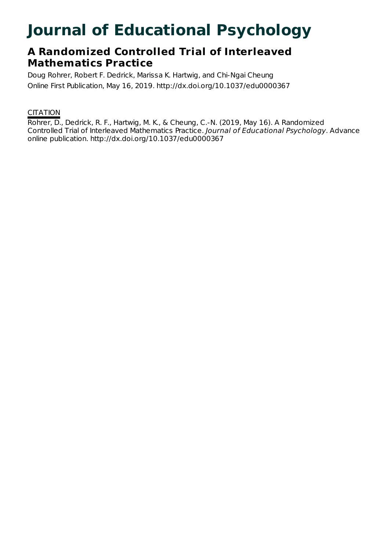# **Journal of Educational Psychology**

# **A Randomized Controlled Trial of Interleaved Mathematics Practice**

Doug Rohrer, Robert F. Dedrick, Marissa K. Hartwig, and Chi-Ngai Cheung Online First Publication, May 16, 2019. http://dx.doi.org/10.1037/edu0000367

### **CITATION**

Rohrer, D., Dedrick, R. F., Hartwig, M. K., & Cheung, C.-N. (2019, May 16). A Randomized Controlled Trial of Interleaved Mathematics Practice. Journal of Educational Psychology. Advance online publication. http://dx.doi.org/10.1037/edu0000367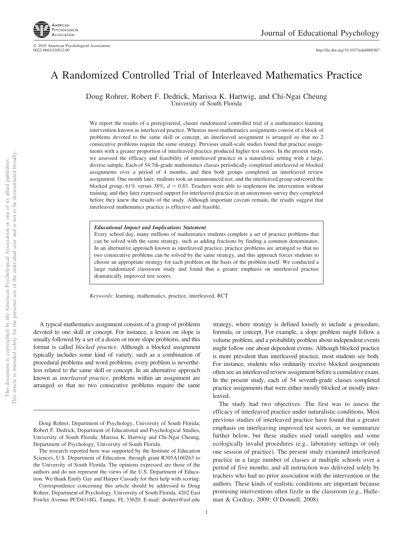http://dx.doi.org[/10.1037/edu0000367](http://dx.doi.org/10.1037/edu0000367)

## A Randomized Controlled Trial of Interleaved Mathematics Practice

Doug Rohrer, Robert F. Dedrick, Marissa K. Hartwig, and Chi-Ngai Cheung University of South Florida

We report the results of a preregistered, cluster randomized controlled trial of a mathematics learning intervention known as interleaved practice. Whereas most mathematics assignments consist of a block of problems devoted to the same skill or concept, an interleaved assignment is arranged so that no 2 consecutive problems require the same strategy. Previous small-scale studies found that practice assignments with a greater proportion of interleaved practice produced higher test scores. In the present study, we assessed the efficacy and feasibility of interleaved practice in a naturalistic setting with a large, diverse sample. Each of 54 7th-grade mathematics classes periodically completed interleaved or blocked assignments over a period of 4 months, and then both groups completed an interleaved review assignment. One month later, students took an unannounced test, and the interleaved group outscored the blocked group,  $61\%$  versus  $38\%, d = 0.83$ . Teachers were able to implement the intervention without training, and they later expressed support for interleaved practice in an anonymous survey they completed before they knew the results of the study. Although important caveats remain, the results suggest that interleaved mathematics practice is effective and feasible.

*Educational Impact and Implications Statement*

Every school day, many millions of mathematics students complete a set of practice problems that can be solved with the same strategy, such as adding fractions by finding a common denominator. In an alternative approach known as interleaved practice, practice problems are arranged so that no two consecutive problems can be solved by the same strategy, and this approach forces students to choose an appropriate strategy for each problem on the basis of the problem itself. We conducted a large randomized classroom study and found that a greater emphasis on interleaved practice dramatically improved test scores.

*Keywords:* learning, mathematics, practice, interleaved, RCT

A typical mathematics assignment consists of a group of problems devoted to one skill or concept. For instance, a lesson on slope is usually followed by a set of a dozen or more slope problems, and this format is called *blocked practice*. Although a blocked assignment typically includes some kind of variety, such as a combination of procedural problems and word problems, every problem is nevertheless related to the same skill or concept. In an alternative approach known as *interleaved practice*, problems within an assignment are arranged so that no two consecutive problems require the same

strategy, where strategy is defined loosely to include a procedure, formula, or concept. For example, a slope problem might follow a volume problem, and a probability problem about independent events might follow one about dependent events. Although blocked practice is more prevalent than interleaved practice, most students see both. For instance, students who ordinarily receive blocked assignments often see an interleaved review assignment before a cumulative exam. In the present study, each of 54 seventh-grade classes completed practice assignments that were either mostly blocked or mostly interleaved.

The study had two objectives. The first was to assess the efficacy of interleaved practice under naturalistic conditions. Most previous studies of interleaved practice have found that a greater emphasis on interleaving improved test scores, as we summarize further below, but these studies used small samples and some ecologically invalid procedures (e.g., laboratory settings or only one session of practice). The present study examined interleaved practice in a large number of classes at multiple schools over a period of five months, and all instruction was delivered solely by teachers who had no prior association with the intervention or the authors. These kinds of realistic conditions are important because promising interventions often fizzle in the classroom (e.g., Hulleman & Cordray, 2009; O'Donnell, 2008).

1

Doug Rohrer, Department of Psychology, University of South Florida; Robert F. Dedrick, Department of Educational and Psychological Studies, University of South Florida; Marissa K. Hartwig and Chi-Ngai Cheung, Department of Psychology, University of South Florida.

The research reported here was supported by the Institute of Education Sciences, U.S. Department of Education, through grant R305A160263 to the University of South Florida. The opinions expressed are those of the authors and do not represent the views of the U.S. Department of Education. We thank Emily Gay and Harper Cassady for their help with scoring.

Correspondence concerning this article should be addressed to Doug Rohrer, Department of Psychology, University of South Florida, 4202 East Fowler Avenue PCD4118G, Tampa, FL 33620. E-mail: [drohrer@usf.edu](mailto:drohrer@usf.edu)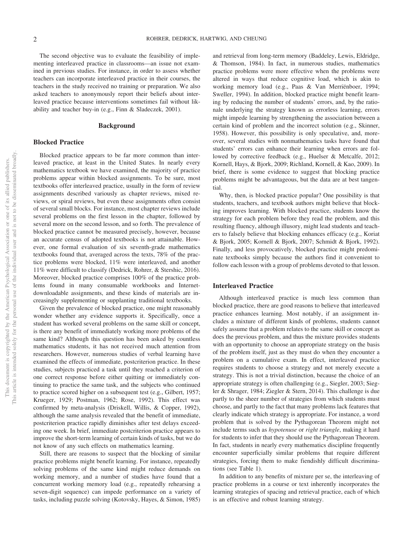The second objective was to evaluate the feasibility of implementing interleaved practice in classrooms—an issue not examined in previous studies. For instance, in order to assess whether teachers can incorporate interleaved practice in their courses, the teachers in the study received no training or preparation. We also asked teachers to anonymously report their beliefs about interleaved practice because interventions sometimes fail without likability and teacher buy-in (e.g., Finn & Sladeczek, 2001).

#### **Background**

#### **Blocked Practice**

Blocked practice appears to be far more common than interleaved practice, at least in the United States. In nearly every mathematics textbook we have examined, the majority of practice problems appear within blocked assignments. To be sure, most textbooks offer interleaved practice, usually in the form of review assignments described variously as chapter reviews, mixed reviews, or spiral reviews, but even these assignments often consist of several small blocks. For instance, most chapter reviews include several problems on the first lesson in the chapter, followed by several more on the second lesson, and so forth. The prevalence of blocked practice cannot be measured precisely, however, because an accurate census of adopted textbooks is not attainable. However, one formal evaluation of six seventh-grade mathematics textbooks found that, averaged across the texts, 78% of the practice problems were blocked, 11% were interleaved, and another 11% were difficult to classify (Dedrick, Rohrer, & Stershic, 2016). Moreover, blocked practice comprises 100% of the practice problems found in many consumable workbooks and Internetdownloadable assignments, and these kinds of materials are increasingly supplementing or supplanting traditional textbooks.

Given the prevalence of blocked practice, one might reasonably wonder whether any evidence supports it. Specifically, once a student has worked several problems on the same skill or concept, is there any benefit of immediately working more problems of the same kind? Although this question has been asked by countless mathematics students, it has not received much attention from researchers. However, numerous studies of verbal learning have examined the effects of immediate, postcriterion practice. In these studies, subjects practiced a task until they reached a criterion of one correct response before either quitting or immediately continuing to practice the same task, and the subjects who continued to practice scored higher on a subsequent test (e.g., Gilbert, 1957; Krueger, 1929; Postman, 1962; Rose, 1992). This effect was confirmed by meta-analysis (Driskell, Willis, & Copper, 1992), although the same analysis revealed that the benefit of immediate, postcriterion practice rapidly diminishes after test delays exceeding one week. In brief, immediate postcriterion practice appears to improve the short-term learning of certain kinds of tasks, but we do not know of any such effects on mathematics learning.

Still, there are reasons to suspect that the blocking of similar practice problems might benefit learning. For instance, repeatedly solving problems of the same kind might reduce demands on working memory, and a number of studies have found that a concurrent working memory load (e.g., repeatedly rehearsing a seven-digit sequence) can impede performance on a variety of tasks, including puzzle solving (Kotovsky, Hayes, & Simon, 1985)

and retrieval from long-term memory (Baddeley, Lewis, Eldridge, & Thomson, 1984). In fact, in numerous studies, mathematics practice problems were more effective when the problems were altered in ways that reduce cognitive load, which is akin to working memory load (e.g., Paas & Van Merriënboer, 1994; Sweller, 1994). In addition, blocked practice might benefit learning by reducing the number of students' errors, and, by the rationale underlying the strategy known as errorless learning, errors might impede learning by strengthening the association between a certain kind of problem and the incorrect solution (e.g., Skinner, 1958). However, this possibility is only speculative, and, moreover, several studies with nonmathematics tasks have found that students' errors can enhance their learning when errors are followed by corrective feedback (e.g., Huelser & Metcalfe, 2012; Kornell, Hays, & Bjork, 2009; Richland, Kornell, & Kao, 2009). In brief, there is some evidence to suggest that blocking practice problems might be advantageous, but the data are at best tangential.

Why, then, is blocked practice popular? One possibility is that students, teachers, and textbook authors might believe that blocking improves learning. With blocked practice, students know the strategy for each problem before they read the problem, and this resulting fluency, although illusory, might lead students and teachers to falsely believe that blocking enhances efficacy (e.g., Koriat & Bjork, 2005; Kornell & Bjork, 2007; Schmidt & Bjork, 1992). Finally, and less provocatively, blocked practice might predominate textbooks simply because the authors find it convenient to follow each lesson with a group of problems devoted to that lesson.

#### **Interleaved Practice**

Although interleaved practice is much less common than blocked practice, there are good reasons to believe that interleaved practice enhances learning. Most notably, if an assignment includes a mixture of different kinds of problems, students cannot safely assume that a problem relates to the same skill or concept as does the previous problem, and thus the mixture provides students with an opportunity to choose an appropriate strategy on the basis of the problem itself, just as they must do when they encounter a problem on a cumulative exam. In effect, interleaved practice requires students to choose a strategy and not merely execute a strategy. This is not a trivial distinction, because the choice of an appropriate strategy is often challenging (e.g., Siegler, 2003; Siegler & Shrager, 1984; [Ziegler & Stern, 2014\)](#page-12-0). This challenge is due partly to the sheer number of strategies from which students must choose, and partly to the fact that many problems lack features that clearly indicate which strategy is appropriate. For instance, a word problem that is solved by the Pythagorean Theorem might not include terms such as *hypotenuse* or *right triangle*, making it hard for students to infer that they should use the Pythagorean Theorem. In fact, students in nearly every mathematics discipline frequently encounter superficially similar problems that require different strategies, forcing them to make fiendishly difficult discriminations (see [Table 1\)](#page-3-0).

In addition to any benefits of mixture per se, the interleaving of practice problems in a course or text inherently incorporates the learning strategies of spacing and retrieval practice, each of which is an effective and robust learning strategy.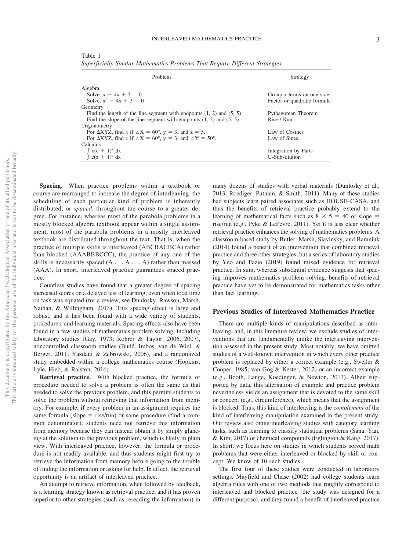<span id="page-3-0"></span>Table 1 *Superficially-Similar Mathematics Problems That Require Different Strategies*

| Problem                                                                                        | Strategy                    |  |  |
|------------------------------------------------------------------------------------------------|-----------------------------|--|--|
| Algebra                                                                                        |                             |  |  |
| Solve. $x - 4x + 3 = 0$                                                                        | Group x terms on one side   |  |  |
| Solve $x^2 - 4x + 3 = 0$                                                                       | Factor or quadratic formula |  |  |
| Geometry                                                                                       |                             |  |  |
| Find the length of the line segment with endpoints $(1, 2)$ and $(5, 5)$                       | Pythagorean Theorem         |  |  |
| Find the slope of the line segment with endpoints $(1, 2)$ and $(5, 5)$                        | Rise / Run                  |  |  |
| Trigonometry                                                                                   |                             |  |  |
| For $\Delta XYZ$ , find x if $\angle X = 60^{\circ}$ , y = 3, and z = 5.                       | Law of Cosines              |  |  |
| For $\triangle XYZ$ , find x if $\angle X = 60^{\circ}$ , y = 3, and $\angle Y = 50^{\circ}$ . | Law of Sines                |  |  |
| Calculus                                                                                       |                             |  |  |
| $\int x(e+1)^{x} dx$                                                                           | Integration by Parts        |  |  |
| $\int e(x + 1)^e dx$                                                                           | U-Substitution              |  |  |

**Spacing.** When practice problems within a textbook or course are rearranged to increase the degree of interleaving, the scheduling of each particular kind of problem is inherently distributed, or *spaced*, throughout the course to a greater degree. For instance, whereas most of the parabola problems in a mostly blocked algebra textbook appear within a single assignment, most of the parabola problems in a mostly interleaved textbook are distributed throughout the text. That is, when the practice of multiple skills is interleaved (ABCBACBCA) rather than blocked (AAABBBCCC), the practice of any one of the skills is necessarily spaced  $(A \dots A \dots A)$  rather than massed (AAA). In short, interleaved practice guarantees spaced practice.

Countless studies have found that a greater degree of spacing increased scores on a delayed test of learning, even when total time on task was equated (for a review, see Dunlosky, Rawson, Marsh, Nathan, & Willingham, 2013). This spacing effect is large and robust, and it has been found with a wide variety of students, procedures, and learning materials. Spacing effects also have been found in a few studies of mathematics problem solving, including laboratory studies (Gay, 1973; Rohrer & Taylor, 2006, [2007\)](#page-11-0), noncontrolled classroom studies (Budé, Imbos, van de Wiel, & Berger, 2011; Yazdani & Zebrowski, 2006), and a randomized study embedded within a college mathematics course (Hopkins, Lyle, Hieb, & Ralston, 2016).

**Retrieval practice.** With blocked practice, the formula or procedure needed to solve a problem is often the same as that needed to solve the previous problem, and this permits students to solve the problem without retrieving that information from memory. For example, if every problem in an assignment requires the same formula (slope  $=$  rise/run) or same procedure (find a common denominator), students need not retrieve this information from memory because they can instead obtain it by simply glancing at the solution to the previous problem, which is likely in plain view. With interleaved practice, however, the formula or procedure is not readily available, and thus students might first try to retrieve the information from memory before going to the trouble of finding the information or asking for help. In effect, the retrieval opportunity is an artifact of interleaved practice.

An attempt to retrieve information, when followed by feedback, is a learning strategy known as retrieval practice, and it has proven superior to other strategies (such as rereading the information) in

many dozens of studies with verbal materials (Dunlosky et al., 2013; [Roediger, Putnam, & Smith, 2011\)](#page-11-1). Many of these studies had subjects learn paired associates such as HOUSE–CASA, and thus the benefits of retrieval practice probably extend to the learning of mathematical facts such as  $8 \times 5 = 40$  or slope = rise/run (e.g., Pyke & LeFevre, 2011). Yet it is less clear whether retrieval practice enhances the solving of mathematics problems. A classroom-based study by Butler, Marsh, Slavinsky, and Baraniuk (2014) found a benefit of an intervention that combined retrieval practice and three other strategies, but a series of laboratory studies by Yeo and Fazio (2019) found mixed evidence for retrieval practice. In sum, whereas substantial evidence suggests that spacing improves mathematics problem solving, benefits of retrieval practice have yet to be demonstrated for mathematics tasks other than fact learning.

#### **Previous Studies of Interleaved Mathematics Practice**

There are multiple kinds of manipulations described as interleaving, and, in this literature review, we exclude studies of interventions that are fundamentally unlike the interleaving intervention assessed in the present study. Most notably, we have omitted studies of a well-known intervention in which every other practice problem is replaced by either a correct example (e.g., Sweller & Cooper, 1985; van Gog & Kester, 2012) or an incorrect example (e.g., Booth, Lange, Koedinger, & Newton, 2013). Albeit supported by data, this alternation of example and practice problem nevertheless yields an assignment that is devoted to the same skill or concept (e.g., circumference), which means that the assignment is blocked. Thus, this kind of interleaving is the *complement* of the kind of interleaving manipulation examined in the present study. Our review also omits interleaving studies with category learning tasks, such as learning to classify statistical problems (Sana, Yan, & Kim, 2017) or chemical compounds (Eglington & Kang, 2017). In short, we focus here on studies in which students solved math problems that were either interleaved or blocked by skill or concept. We know of 10 such studies.

The first four of these studies were conducted in laboratory settings. Mayfield and Chase (2002) had college students learn algebra rules with one of two methods that roughly correspond to interleaved and blocked practice (the study was designed for a different purpose), and they found a benefit of interleaved practice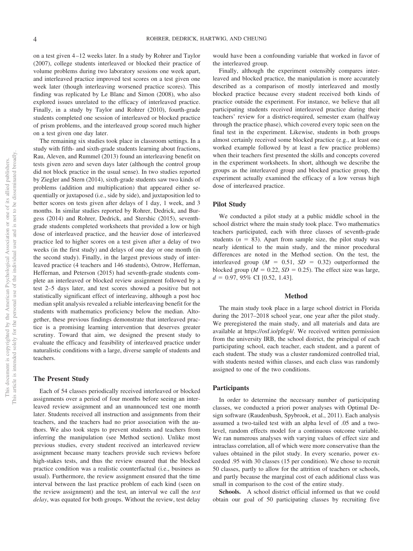on a test given 4 –12 weeks later. In a study by [Rohrer and Taylor](#page-11-0) [\(2007\),](#page-11-0) college students interleaved or blocked their practice of volume problems during two laboratory sessions one week apart, and interleaved practice improved test scores on a test given one week later (though interleaving worsened practice scores). This finding was replicated by Le Blanc and Simon (2008), who also explored issues unrelated to the efficacy of interleaved practice. Finally, in a study by Taylor and Rohrer (2010), fourth-grade students completed one session of interleaved or blocked practice of prism problems, and the interleaved group scored much higher on a test given one day later.

The remaining six studies took place in classroom settings. In a study with fifth- and sixth-grade students learning about fractions, Rau, Aleven, and Rummel (2013) found an interleaving benefit on tests given zero and seven days later (although the control group did not block practice in the usual sense). In two studies reported by [Ziegler and Stern \(2014\),](#page-12-0) sixth-grade students saw two kinds of problems (addition and multiplication) that appeared either sequentially or juxtaposed (i.e., side by side), and juxtaposition led to better scores on tests given after delays of 1 day, 1 week, and 3 months. In similar studies reported by [Rohrer, Dedrick, and Bur](#page-11-2)[gess \(2014\)](#page-11-2) and Rohrer, Dedrick, and Stershic (2015), seventhgrade students completed worksheets that provided a low or high dose of interleaved practice, and the heavier dose of interleaved practice led to higher scores on a test given after a delay of two weeks (in the first study) and delays of one day or one month (in the second study). Finally, in the largest previous study of interleaved practice (4 teachers and 146 students), Ostrow, Heffernan, Heffernan, and Peterson (2015) had seventh-grade students complete an interleaved or blocked review assignment followed by a test 2–5 days later, and test scores showed a positive but not statistically significant effect of interleaving, although a post hoc median split analysis revealed a reliable interleaving benefit for the students with mathematics proficiency below the median. Altogether, these previous findings demonstrate that interleaved practice is a promising learning intervention that deserves greater scrutiny. Toward that aim, we designed the present study to evaluate the efficacy and feasibility of interleaved practice under naturalistic conditions with a large, diverse sample of students and teachers.

#### **The Present Study**

Each of 54 classes periodically received interleaved or blocked assignments over a period of four months before seeing an interleaved review assignment and an unannounced test one month later. Students received all instruction and assignments from their teachers, and the teachers had no prior association with the authors. We also took steps to prevent students and teachers from inferring the manipulation (see Method section). Unlike most previous studies, every student received an interleaved review assignment because many teachers provide such reviews before high-stakes tests, and thus the review ensured that the blocked practice condition was a realistic counterfactual (i.e., business as usual). Furthermore, the review assignment ensured that the time interval between the last practice problem of each kind (seen on the review assignment) and the test, an interval we call the *test delay*, was equated for both groups. Without the review, test delay

would have been a confounding variable that worked in favor of the interleaved group.

Finally, although the experiment ostensibly compares interleaved and blocked practice, the manipulation is more accurately described as a comparison of mostly interleaved and mostly blocked practice because every student received both kinds of practice outside the experiment. For instance, we believe that all participating students received interleaved practice during their teachers' review for a district-required, semester exam (halfway through the practice phase), which covered every topic seen on the final test in the experiment. Likewise, students in both groups almost certainly received some blocked practice (e.g., at least one worked example followed by at least a few practice problems) when their teachers first presented the skills and concepts covered in the experiment worksheets. In short, although we describe the groups as the interleaved group and blocked practice group, the experiment actually examined the efficacy of a low versus high dose of interleaved practice.

#### **Pilot Study**

We conducted a pilot study at a public middle school in the school district where the main study took place. Two mathematics teachers participated, each with three classes of seventh-grade students  $(n = 83)$ . Apart from sample size, the pilot study was nearly identical to the main study, and the minor procedural differences are noted in the Method section. On the test, the interleaved group ( $M = 0.51$ ,  $SD = 0.32$ ) outperformed the blocked group ( $M = 0.22$ ,  $SD = 0.25$ ). The effect size was large, *d* - 0.97, 95% CI [0.52, 1.43].

#### **Method**

The main study took place in a large school district in Florida during the 2017–2018 school year, one year after the pilot study. We preregistered the main study, and all materials and data are available at [https://osf.io/pfeg4/.](https://osf.io/pfeg4/) We received written permission from the university IRB, the school district, the principal of each participating school, each teacher, each student, and a parent of each student. The study was a cluster randomized controlled trial, with students nested within classes, and each class was randomly assigned to one of the two conditions.

#### **Participants**

In order to determine the necessary number of participating classes, we conducted a priori power analyses with Optimal Design software (Raudenbush, Spybrook, et al., 2011). Each analysis assumed a two-tailed test with an alpha level of .05 and a twolevel, random effects model for a continuous outcome variable. We ran numerous analyses with varying values of effect size and intraclass correlation, all of which were more conservative than the values obtained in the pilot study. In every scenario, power exceeded .95 with 30 classes (15 per condition). We chose to recruit 50 classes, partly to allow for the attrition of teachers or schools, and partly because the marginal cost of each additional class was small in comparison to the cost of the entire study.

**Schools.** A school district official informed us that we could obtain our goal of 50 participating classes by recruiting five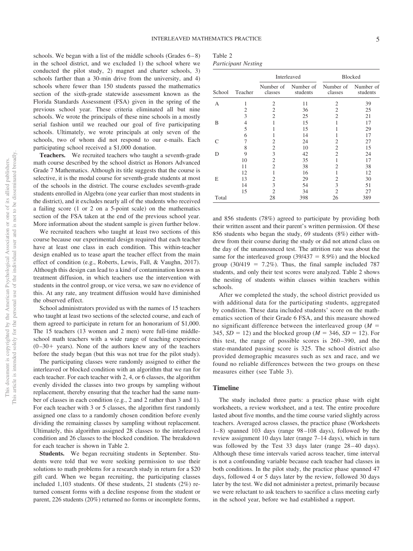schools. We began with a list of the middle schools (Grades  $6-8$ ) in the school district, and we excluded 1) the school where we conducted the pilot study, 2) magnet and charter schools, 3) schools farther than a 30-min drive from the university, and 4) schools where fewer than 150 students passed the mathematics section of the sixth-grade statewide assessment known as the Florida Standards Assessment (FSA) given in the spring of the previous school year. These criteria eliminated all but nine schools. We wrote the principals of these nine schools in a mostly serial fashion until we reached our goal of five participating schools. Ultimately, we wrote principals at only seven of the schools, two of whom did not respond to our e-mails. Each participating school received a \$1,000 donation.

**Teachers.** We recruited teachers who taught a seventh-grade math course described by the school district as Honors Advanced Grade 7 Mathematics. Although its title suggests that the course is selective, it is the modal course for seventh-grade students at most of the schools in the district. The course excludes seventh-grade students enrolled in Algebra (one year earlier than most students in the district), and it excludes nearly all of the students who received a failing score (1 or 2 on a 5-point scale) on the mathematics section of the FSA taken at the end of the previous school year. More information about the student sample is given further below.

We recruited teachers who taught at least two sections of this course because our experimental design required that each teacher have at least one class in each condition. This within-teacher design enabled us to tease apart the teacher effect from the main effect of condition (e.g., Roberts, Lewis, Fall, & Vaughn, 2017). Although this design can lead to a kind of contamination known as treatment diffusion, in which teachers use the intervention with students in the control group, or vice versa, we saw no evidence of this. At any rate, any treatment diffusion would have diminished the observed effect.

School administrators provided us with the names of 15 teachers who taught at least two sections of the selected course, and each of them agreed to participate in return for an honorarium of \$1,000. The 15 teachers (13 women and 2 men) were full-time middleschool math teachers with a wide range of teaching experience  $(0-30+)$  years). None of the authors knew any of the teachers before the study began (but this was not true for the pilot study).

The participating classes were randomly assigned to either the interleaved or blocked condition with an algorithm that we ran for each teacher. For each teacher with 2, 4, or 6 classes, the algorithm evenly divided the classes into two groups by sampling without replacement, thereby ensuring that the teacher had the same number of classes in each condition (e.g., 2 and 2 rather than 3 and 1). For each teacher with 3 or 5 classes, the algorithm first randomly assigned one class to a randomly chosen condition before evenly dividing the remaining classes by sampling without replacement. Ultimately, this algorithm assigned 28 classes to the interleaved condition and 26 classes to the blocked condition. The breakdown for each teacher is shown in Table 2.

**Students.** We began recruiting students in September. Students were told that we were seeking permission to use their solutions to math problems for a research study in return for a \$20 gift card. When we began recruiting, the participating classes included 1,103 students. Of these students, 21 students (2%) returned consent forms with a decline response from the student or parent, 226 students (20%) returned no forms or incomplete forms,

| Table 2                    |  |
|----------------------------|--|
| <b>Participant Nesting</b> |  |

|        |         |                      | Interleaved           |                      | <b>Blocked</b>        |
|--------|---------|----------------------|-----------------------|----------------------|-----------------------|
| School | Teacher | Number of<br>classes | Number of<br>students | Number of<br>classes | Number of<br>students |
| А      | 1       | $\overline{c}$       | 11                    | $\overline{c}$       | 39                    |
|        | 2       | 2                    | 36                    | 2                    | 25                    |
|        | 3       | $\overline{c}$       | 25                    | $\overline{c}$       | 21                    |
| B      | 4       |                      | 15                    |                      | 17                    |
|        | 5       |                      | 15                    |                      | 29                    |
|        | 6       |                      | 14                    |                      | 17                    |
| C      | 7       | 2                    | 24                    | 2                    | 27                    |
|        | 8       | $\overline{c}$       | 10                    | 2                    | 15                    |
| D      | 9       | 3                    | 42                    | $\overline{c}$       | 24                    |
|        | 10      | $\overline{c}$       | 35                    |                      | 17                    |
|        | 11      | $\overline{c}$       | 38                    | 2                    | 38                    |
|        | 12      |                      | 16                    |                      | 12                    |
| E      | 13      | 2                    | 29                    | 2                    | 30                    |
|        | 14      | 3                    | 54                    | 3                    | 51                    |
|        | 15      | $\overline{c}$       | 34                    | $\overline{2}$       | 27                    |
| Total  |         | 28                   | 398                   | 26                   | 389                   |

and 856 students (78%) agreed to participate by providing both their written assent and their parent's written permission. Of these 856 students who began the study, 69 students (8%) either withdrew from their course during the study or did not attend class on the day of the unannounced test. The attrition rate was about the same for the interleaved group  $(39/437 = 8.9%)$  and the blocked group  $(30/419 = 7.2\%)$ . Thus, the final sample included 787 students, and only their test scores were analyzed. Table 2 shows the nesting of students within classes within teachers within schools.

After we completed the study, the school district provided us with additional data for the participating students, aggregated by condition. These data included students' score on the mathematics section of their Grade 6 FSA, and this measure showed no significant difference between the interleaved group  $(M =$ 345,  $SD = 12$ ) and the blocked group ( $M = 346$ ,  $SD = 12$ ). For this test, the range of possible scores is 260 –390, and the state-mandated passing score is 325. The school district also provided demographic measures such as sex and race, and we found no reliable differences between the two groups on these measures either (see [Table 3\)](#page-6-0).

#### **Timeline**

The study included three parts: a practice phase with eight worksheets, a review worksheet, and a test. The entire procedure lasted about five months, and the time course varied slightly across teachers. Averaged across classes, the practice phase (Worksheets 1– 8) spanned 103 days (range 98 –108 days), followed by the review assignment 10 days later (range 7–14 days), which in turn was followed by the Test 33 days later (range  $28-40$  days). Although these time intervals varied across teacher, time interval is not a confounding variable because each teacher had classes in both conditions. In the pilot study, the practice phase spanned 47 days, followed 4 or 5 days later by the review, followed 30 days later by the test. We did not administer a pretest, primarily because we were reluctant to ask teachers to sacrifice a class meeting early in the school year, before we had established a rapport.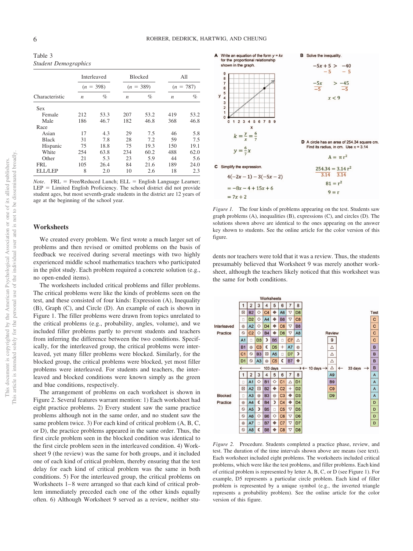<span id="page-6-0"></span>Table 3 *Student Demographics*

|                |                  | <b>Interleaved</b><br>$(n = 398)$ |                  | Blocked     |                  | All<br>$(n = 787)$ |  |
|----------------|------------------|-----------------------------------|------------------|-------------|------------------|--------------------|--|
|                |                  |                                   |                  | $(n = 389)$ |                  |                    |  |
| Characteristic | $\boldsymbol{n}$ | $\%$                              | $\boldsymbol{n}$ | $\%$        | $\boldsymbol{n}$ | $\%$               |  |
| <b>Sex</b>     |                  |                                   |                  |             |                  |                    |  |
| Female         | 212              | 53.3                              | 207              | 53.2        | 419              | 53.2               |  |
| Male           | 186              | 46.7                              | 182              | 46.8        | 368              | 46.8               |  |
| Race           |                  |                                   |                  |             |                  |                    |  |
| Asian          | 17               | 4.3                               | 29               | 7.5         | 46               | 5.8                |  |
| <b>Black</b>   | 31               | 7.8                               | 28               | 7.2         | 59               | 7.5                |  |
| Hispanic       | 75               | 18.8                              | 75               | 19.3        | 150              | 19.1               |  |
| White          | 254              | 63.8                              | 234              | 60.2        | 488              | 62.0               |  |
| Other          | 21               | 5.3                               | 23               | 5.9         | 44               | 5.6                |  |
| FRI.           | 105              | 26.4                              | 84               | 21.6        | 189              | 24.0               |  |
| <b>ELL/LEP</b> | 8                | 2.0                               | 10               | 2.6         | 18               | 2.3                |  |

*Note*. FRL = Free/Reduced Lunch; ELL = English Language Learner;  $LEP =$  Limited English Proficiency. The school district did not provide student ages, but most seventh-grade students in the district are 12 years of age at the beginning of the school year.

#### **Worksheets**

We created every problem. We first wrote a much larger set of problems and then revised or omitted problems on the basis of feedback we received during several meetings with two highly experienced middle school mathematics teachers who participated in the pilot study. Each problem required a concrete solution (e.g., no open-ended items).

The worksheets included critical problems and filler problems. The critical problems were like the kinds of problems seen on the test, and these consisted of four kinds: Expression (A), Inequality (B), Graph (C), and Circle (D). An example of each is shown in [Figure 1.](#page-6-1) The filler problems were drawn from topics unrelated to the critical problems (e.g., probability, angles, volume), and we included filler problems partly to prevent students and teachers from inferring the difference between the two conditions. Specifically, for the interleaved group, the critical problems were interleaved, yet many filler problems were blocked. Similarly, for the blocked group, the critical problems were blocked, yet most filler problems were interleaved. For students and teachers, the interleaved and blocked conditions were known simply as the green and blue conditions, respectively.

The arrangement of problems on each worksheet is shown in [Figure 2.](#page-6-2) Several features warrant mention: 1) Each worksheet had eight practice problems. 2) Every student saw the same practice problems although not in the same order, and no student saw the same problem twice. 3) For each kind of critical problem (A, B, C, or D), the practice problems appeared in the same order. Thus, the first circle problem seen in the blocked condition was identical to the first circle problem seen in the interleaved condition. 4) Worksheet 9 (the review) was the same for both groups, and it included one of each kind of critical problem, thereby ensuring that the test delay for each kind of critical problem was the same in both conditions. 5) For the interleaved group, the critical problems on Worksheets 1–8 were arranged so that each kind of critical problem immediately preceded each one of the other kinds equally often. 6) Although Worksheet 9 served as a review, neither stu-



<span id="page-6-1"></span>*Figure 1.* The four kinds of problems appearing on the test. Students saw graph problems (A), inequalities (B), expressions (C), and circles (D). The solutions shown above are identical to the ones appearing on the answer key shown to students. See the online article for the color version of this figure.

dents nor teachers were told that it was a review. Thus, the students presumably believed that Worksheet 9 was merely another worksheet, although the teachers likely noticed that this worksheet was the same for both conditions.



<span id="page-6-2"></span>*Figure 2.* Procedure. Students completed a practice phase, review, and test. The duration of the time intervals shown above are means (see text). Each worksheet included eight problems. The worksheets included critical problems, which were like the test problems, and filler problems. Each kind of critical problem is represented by letter A, B, C, or D (see [Figure 1\)](#page-6-1). For example, D5 represents a particular circle problem. Each kind of filler problem is represented by a unique symbol (e.g., the inverted triangle represents a probability problem). See the online article for the color version of this figure.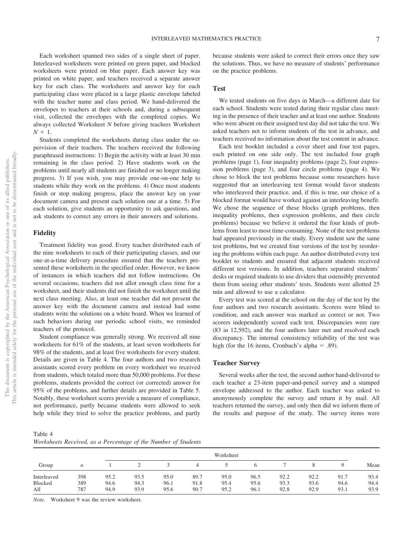Each worksheet spanned two sides of a single sheet of paper. Interleaved worksheets were printed on green paper, and blocked worksheets were printed on blue paper. Each answer key was printed on white paper, and teachers received a separate answer key for each class. The worksheets and answer key for each participating class were placed in a large plastic envelope labeled with the teacher name and class period. We hand-delivered the envelopes to teachers at their schools and, during a subsequent visit, collected the envelopes with the completed copies. We always collected Worksheet *N* before giving teachers Worksheet  $N + 1$ .

Students completed the worksheets during class under the supervision of their teachers. The teachers received the following paraphrased instructions: 1) Begin the activity with at least 30 min remaining in the class period. 2) Have students work on the problems until nearly all students are finished or no longer making progress. 3) If you wish, you may provide one-on-one help to students while they work on the problems. 4) Once most students finish or stop making progress, place the answer key on your document camera and present each solution one at a time. 5) For each solution, give students an opportunity to ask questions, and ask students to correct any errors in their answers and solutions.

#### **Fidelity**

Treatment fidelity was good. Every teacher distributed each of the nine worksheets to each of their participating classes, and our one-at-a-time delivery procedure ensured that the teachers presented these worksheets in the specified order. However, we know of instances in which teachers did not follow instructions. On several occasions, teachers did not allot enough class time for a worksheet, and their students did not finish the worksheet until the next class meeting. Also, at least one teacher did not present the answer key with the document camera and instead had some students write the solutions on a white board. When we learned of such behaviors during our periodic school visits, we reminded teachers of the protocol.

Student compliance was generally strong. We received all nine worksheets for 61% of the students, at least seven worksheets for 98% of the students, and at least five worksheets for every student. Details are given in [Table 4.](#page-7-0) The four authors and two research assistants scored every problem on every worksheet we received from students, which totaled more than 50,000 problems. For these problems, students provided the correct (or corrected) answer for 95% of the problems, and further details are provided in Table 5. Notably, these worksheet scores provide a measure of compliance, not performance, partly because students were allowed to seek help while they tried to solve the practice problems, and partly because students were asked to correct their errors once they saw the solutions. Thus, we have no measure of students' performance on the practice problems.

#### **Test**

We tested students on five days in March—a different date for each school. Students were tested during their regular class meeting in the presence of their teacher and at least one author. Students who were absent on their assigned test day did not take the test. We asked teachers not to inform students of the test in advance, and teachers received no information about the test content in advance.

Each test booklet included a cover sheet and four test pages, each printed on one side only. The test included four graph problems (page 1), four inequality problems (page 2), four expression problems (page 3), and four circle problems (page 4). We chose to block the test problems because some researchers have suggested that an interleaving test format would favor students who interleaved their practice, and, if this is true, our choice of a blocked format would have worked against an interleaving benefit. We chose the sequence of these blocks (graph problems, then inequality problems, then expression problems, and then circle problems) because we believe it ordered the four kinds of problems from least to most time-consuming. None of the test problems had appeared previously in the study. Every student saw the same test problems, but we created four versions of the test by reordering the problems within each page. An author distributed every test booklet to students and ensured that adjacent students received different test versions. In addition, teachers separated students' desks or required students to use dividers that ostensibly prevented them from seeing other students' tests. Students were allotted 25 min and allowed to use a calculator.

Every test was scored at the school on the day of the test by the four authors and two research assistants. Scorers were blind to condition, and each answer was marked as correct or not. Two scorers independently scored each test. Discrepancies were rare (83 in 12,592), and the four authors later met and resolved each discrepancy. The internal consistency reliability of the test was high (for the 16 items, Cronbach's alpha = .89).

#### **Teacher Survey**

Several weeks after the test, the second author hand-delivered to each teacher a 23-item paper-and-pencil survey and a stamped envelope addressed to the author. Each teacher was asked to anonymously complete the survey and return it by mail. All teachers returned the survey, and only then did we inform them of the results and purpose of the study. The survey items were

<span id="page-7-0"></span>Table 4 *Worksheets Received, as a Percentage of the Number of Students*

|                | Worksheet  |              |              |              |              |              |              |              |              |              |              |
|----------------|------------|--------------|--------------|--------------|--------------|--------------|--------------|--------------|--------------|--------------|--------------|
| Group          | n          |              |              |              | 4            |              |              |              |              |              | Mean         |
| Interleaved    | 398        | 95.2         | 93.5         | 95.0         | 89.7         | 95.0         | 96.5         | 92.2         | 92.2         | 91.7         | 93.4         |
| Blocked<br>All | 389<br>787 | 94.6<br>94.9 | 94.3<br>93.9 | 96.1<br>95.6 | 91.8<br>90.7 | 95.4<br>95.2 | 95.6<br>96.1 | 93.3<br>92.8 | 93.6<br>92.9 | 94.6<br>93.1 | 94.4<br>93.9 |

*Note*. Worksheet 9 was the review worksheet.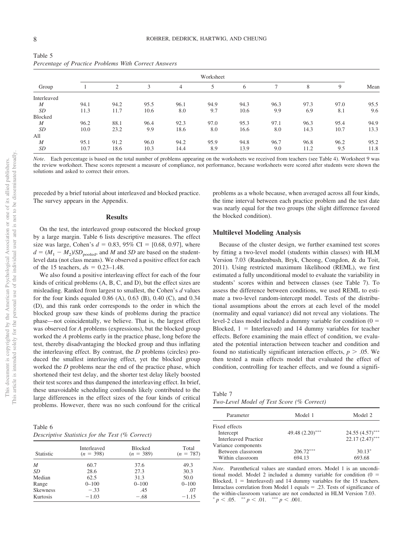|                  | Percentage of Practice Problems With Correct Answers |      |      |                |           |      |      |      |      |      |
|------------------|------------------------------------------------------|------|------|----------------|-----------|------|------|------|------|------|
|                  |                                                      |      |      |                | Worksheet |      |      |      |      |      |
| Group            |                                                      | 2    | 3    | $\overline{4}$ | 5         | 6    |      | 8    | 9    | Mean |
| Interleaved      |                                                      |      |      |                |           |      |      |      |      |      |
| $\boldsymbol{M}$ | 94.1                                                 | 94.2 | 95.5 | 96.1           | 94.9      | 94.3 | 96.3 | 97.3 | 97.0 | 95.5 |
| SD               | 11.3                                                 | 11.7 | 10.6 | 8.0            | 9.7       | 10.6 | 9.9  | 6.9  | 8.1  | 9.6  |
| Blocked          |                                                      |      |      |                |           |      |      |      |      |      |
| $\boldsymbol{M}$ | 96.2                                                 | 88.1 | 96.4 | 92.3           | 97.0      | 95.3 | 97.1 | 96.3 | 95.4 | 94.9 |
| SD               | 10.0                                                 | 23.2 | 9.9  | 18.6           | 8.0       | 16.6 | 8.0  | 14.3 | 10.7 | 13.3 |
| All              |                                                      |      |      |                |           |      |      |      |      |      |
| $\boldsymbol{M}$ | 95.1                                                 | 91.2 | 96.0 | 94.2           | 95.9      | 94.8 | 96.7 | 96.8 | 96.2 | 95.2 |
| SD               | 10.7                                                 | 18.6 | 10.3 | 14.4           | 8.9       | 13.9 | 9.0  | 11.2 | 9.5  | 11.8 |

|  |  | Percentage of Practice Problems With Correct Answers |
|--|--|------------------------------------------------------|

*Note*. Each percentage is based on the total number of problems appearing on the worksheets we received from teachers (see [Table 4\)](#page-7-0). Worksheet 9 was the review worksheet. These scores represent a measure of compliance, not performance, because worksheets were scored after students were shown the solutions and asked to correct their errors.

preceded by a brief tutorial about interleaved and blocked practice. The survey appears in the Appendix.

#### **Results**

On the test, the interleaved group outscored the blocked group by a large margin. Table 6 lists descriptive measures. The effect size was large, Cohen's  $d = 0.83, 95\%$  CI = [0.68, 0.97], where  $d = (M_1 - M_2)/SD_{pooled}$ , and *M* and *SD* are based on the studentlevel data (not class means). We observed a positive effect for each of the 15 teachers,  $ds = 0.23 - 1.48$ .

We also found a positive interleaving effect for each of the four kinds of critical problems (A, B, C, and D), but the effect sizes are misleading. Ranked from largest to smallest, the Cohen's *d* values for the four kinds equaled 0.86 (A), 0.63 (B), 0.40 (C), and 0.34 (D), and this rank order corresponds to the order in which the blocked group saw these kinds of problems during the practice phase—not coincidentally, we believe. That is, the largest effect was observed for *A* problems (expressions), but the blocked group worked the *A* problems early in the practice phase, long before the test, thereby disadvantaging the blocked group and thus inflating the interleaving effect. By contrast, the *D* problems (circles) produced the smallest interleaving effect, yet the blocked group worked the *D* problems near the end of the practice phase, which shortened their test delay, and the shorter test delay likely boosted their test scores and thus dampened the interleaving effect. In brief, these unavoidable scheduling confounds likely contributed to the large differences in the effect sizes of the four kinds of critical problems. However, there was no such confound for the critical

Table 6 *Descriptive Statistics for the Test (% Correct)*

| Statistic       | Interleaved<br>$(n = 398)$ | <b>Blocked</b><br>$(n = 389)$ | Total<br>$(n = 787)$ |
|-----------------|----------------------------|-------------------------------|----------------------|
| M               | 60.7                       | 37.6                          | 49.3                 |
| SD              | 28.6                       | 27.3                          | 30.3                 |
| Median          | 62.5                       | 31.3                          | 50.0                 |
| Range           | $0 - 100$                  | $0 - 100$                     | $0 - 100$            |
| <b>Skewness</b> | $-.33$                     | .45                           | .07                  |
| Kurtosis        | $-1.03$                    | $-.68$                        | $-1.15$              |

problems as a whole because, when averaged across all four kinds, the time interval between each practice problem and the test date was nearly equal for the two groups (the slight difference favored the blocked condition).

#### **Multilevel Modeling Analysis**

Because of the cluster design, we further examined test scores by fitting a two-level model (students within classes) with HLM Version 7.03 (Raudenbush, Bryk, Cheong, Congdon, & du Toit, 2011). Using restricted maximum likelihood (REML), we first estimated a fully unconditional model to evaluate the variability in students' scores within and between classes (see [Table 7\)](#page-8-0). To assess the difference between conditions, we used REML to estimate a two-level random-intercept model. Tests of the distributional assumptions about the errors at each level of the model (normality and equal variance) did not reveal any violations. The level-2 class model included a dummy variable for condition  $(0 =$ Blocked,  $1 =$  Interleaved) and 14 dummy variables for teacher effects. Before examining the main effect of condition, we evaluated the potential interaction between teacher and condition and found no statistically significant interaction effects,  $p > .05$ . We then tested a main effects model that evaluated the effect of condition, controlling for teacher effects, and we found a signifi-

<span id="page-8-0"></span>Table 7 *Two-Level Model of Test Score (% Correct)*

| Model 1            | Model 2            |  |
|--------------------|--------------------|--|
|                    |                    |  |
| 49.48 $(2.20)$ *** | $24.55 (4.57)$ *** |  |
|                    | $22.17(2.47)$ ***  |  |
|                    |                    |  |
| $206.72***$        | $30.13*$           |  |
| 694.13             | 693.68             |  |
|                    |                    |  |

*Note*. Parenthetical values are standard errors. Model 1 is an unconditional model. Model 2 included a dummy variable for condition  $(0 =$ Blocked,  $1 =$  Interleaved) and 14 dummy variables for the 15 teachers. Intraclass correlation from Model 1 equals  $= .23$ . Tests of significance of the within-classroom variance are not conducted in HLM Version 7.03.  $p < .05.$  \*\*  $p < .01.$  \*\*\*  $p < .001.$ 

Table 5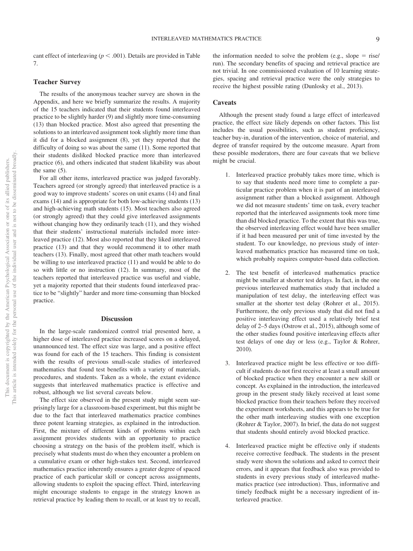cant effect of interleaving ( $p \leq .001$ ). Details are provided in [Table](#page-8-0) [7.](#page-8-0)

#### **Teacher Survey**

The results of the anonymous teacher survey are shown in the Appendix, and here we briefly summarize the results. A majority of the 15 teachers indicated that their students found interleaved practice to be slightly harder (9) and slightly more time-consuming (13) than blocked practice. Most also agreed that presenting the solutions to an interleaved assignment took slightly more time than it did for a blocked assignment (8), yet they reported that the difficulty of doing so was about the same (11). Some reported that their students disliked blocked practice more than interleaved practice (6), and others indicated that student likability was about the same (5).

For all other items, interleaved practice was judged favorably. Teachers agreed (or strongly agreed) that interleaved practice is a good way to improve students' scores on unit exams (14) and final exams (14) and is appropriate for both low-achieving students (13) and high-achieving math students (15). Most teachers also agreed (or strongly agreed) that they could give interleaved assignments without changing how they ordinarily teach (11), and they wished that their students' instructional materials included more interleaved practice (12). Most also reported that they liked interleaved practice (13) and that they would recommend it to other math teachers (13). Finally, most agreed that other math teachers would be willing to use interleaved practice (11) and would be able to do so with little or no instruction (12). In summary, most of the teachers reported that interleaved practice was useful and viable, yet a majority reported that their students found interleaved practice to be "slightly" harder and more time-consuming than blocked practice.

#### **Discussion**

In the large-scale randomized control trial presented here, a higher dose of interleaved practice increased scores on a delayed, unannounced test. The effect size was large, and a positive effect was found for each of the 15 teachers. This finding is consistent with the results of previous small-scale studies of interleaved mathematics that found test benefits with a variety of materials, procedures, and students. Taken as a whole, the extant evidence suggests that interleaved mathematics practice is effective and robust, although we list several caveats below.

The effect size observed in the present study might seem surprisingly large for a classroom-based experiment, but this might be due to the fact that interleaved mathematics practice combines three potent learning strategies, as explained in the introduction. First, the mixture of different kinds of problems within each assignment provides students with an opportunity to practice choosing a strategy on the basis of the problem itself, which is precisely what students must do when they encounter a problem on a cumulative exam or other high-stakes test. Second, interleaved mathematics practice inherently ensures a greater degree of spaced practice of each particular skill or concept across assignments, allowing students to exploit the spacing effect. Third, interleaving might encourage students to engage in the strategy known as retrieval practice by leading them to recall, or at least try to recall,

the information needed to solve the problem (e.g., slope  $=$  rise/ run). The secondary benefits of spacing and retrieval practice are not trivial. In one commissioned evaluation of 10 learning strategies, spacing and retrieval practice were the only strategies to receive the highest possible rating (Dunlosky et al., 2013).

#### **Caveats**

Although the present study found a large effect of interleaved practice, the effect size likely depends on other factors. This list includes the usual possibilities, such as student proficiency, teacher buy-in, duration of the intervention, choice of material, and degree of transfer required by the outcome measure. Apart from these possible moderators, there are four caveats that we believe might be crucial.

- 1. Interleaved practice probably takes more time, which is to say that students need more time to complete a particular practice problem when it is part of an interleaved assignment rather than a blocked assignment. Although we did not measure students' time on task, every teacher reported that the interleaved assignments took more time than did blocked practice. To the extent that this was true, the observed interleaving effect would have been smaller if it had been measured per unit of time invested by the student. To our knowledge, no previous study of interleaved mathematics practice has measured time on task, which probably requires computer-based data collection.
- 2. The test benefit of interleaved mathematics practice might be smaller at shorter test delays. In fact, in the one previous interleaved mathematics study that included a manipulation of test delay, the interleaving effect was smaller at the shorter test delay (Rohrer et al., 2015). Furthermore, the only previous study that did not find a positive interleaving effect used a relatively brief test delay of 2–5 days (Ostrow et al., 2015), although some of the other studies found positive interleaving effects after test delays of one day or less (e.g., Taylor & Rohrer, 2010).
- 3. Interleaved practice might be less effective or too difficult if students do not first receive at least a small amount of blocked practice when they encounter a new skill or concept. As explained in the introduction, the interleaved group in the present study likely received at least some blocked practice from their teachers before they received the experiment worksheets, and this appears to be true for the other math interleaving studies with one exception [\(Rohrer & Taylor, 2007\)](#page-11-0). In brief, the data do not suggest that students should entirely avoid blocked practice.
- Interleaved practice might be effective only if students receive corrective feedback. The students in the present study were shown the solutions and asked to correct their errors, and it appears that feedback also was provided to students in every previous study of interleaved mathematics practice (see introduction). Thus, informative and timely feedback might be a necessary ingredient of interleaved practice.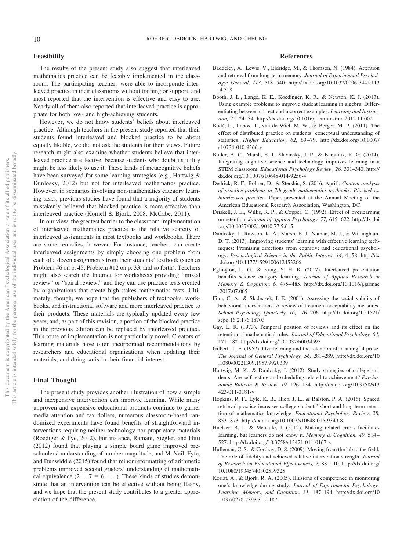#### **Feasibility**

The results of the present study also suggest that interleaved mathematics practice can be feasibly implemented in the classroom. The participating teachers were able to incorporate interleaved practice in their classrooms without training or support, and most reported that the intervention is effective and easy to use. Nearly all of them also reported that interleaved practice is appropriate for both low- and high-achieving students.

However, we do not know students' beliefs about interleaved practice. Although teachers in the present study reported that their students found interleaved and blocked practice to be about equally likable, we did not ask the students for their views. Future research might also examine whether students believe that interleaved practice is effective, because students who doubt its utility might be less likely to use it. These kinds of metacognitive beliefs have been surveyed for some learning strategies (e.g., Hartwig & Dunlosky, 2012) but not for interleaved mathematics practice. However, in scenarios involving non-mathematics category learning tasks, previous studies have found that a majority of students mistakenly believed that blocked practice is more effective than interleaved practice (Kornell & Bjork, 2008; McCabe, 2011).

In our view, the greatest barrier to the classroom implementation of interleaved mathematics practice is the relative scarcity of interleaved assignments in most textbooks and workbooks. There are some remedies, however. For instance, teachers can create interleaved assignments by simply choosing one problem from each of a dozen assignments from their students' textbook (such as Problem #6 on p. 45, Problem #12 on p. 33, and so forth). Teachers might also search the Internet for worksheets providing "mixed review" or "spiral review," and they can use practice tests created by organizations that create high-stakes mathematics tests. Ultimately, though, we hope that the publishers of textbooks, workbooks, and instructional software add more interleaved practice to their products. These materials are typically updated every few years, and, as part of this revision, a portion of the blocked practice in the previous edition can be replaced by interleaved practice. This route of implementation is not particularly novel. Creators of learning materials have often incorporated recommendations by researchers and educational organizations when updating their materials, and doing so is in their financial interest.

#### **Final Thought**

The present study provides another illustration of how a simple and inexpensive intervention can improve learning. While many unproven and expensive educational products continue to garner media attention and tax dollars, numerous classroom-based randomized experiments have found benefits of straightforward interventions requiring neither technology nor proprietary materials (Roediger & Pyc, 2012). For instance, Ramani, Siegler, and Hitti (2012) found that playing a simple board game improved preschoolers' understanding of number magnitude, and McNeil, Fyfe, and Dunwiddie (2015) found that minor reformatting of arithmetic problems improved second graders' understanding of mathematical equivalence  $(2 + 7 = 6 + ...)$ . These kinds of studies demonstrate that an intervention can be effective without being flashy, and we hope that the present study contributes to a greater appreciation of the difference.

#### **References**

- Baddeley, A., Lewis, V., Eldridge, M., & Thomson, N. (1984). Attention and retrieval from long-term memory. *Journal of Experimental Psychology: General, 113,* 518 –540. [http://dx.doi.org/10.1037/0096-3445.113](http://dx.doi.org/10.1037/0096-3445.113.4.518) [.4.518](http://dx.doi.org/10.1037/0096-3445.113.4.518)
- Booth, J. L., Lange, K. E., Koedinger, K. R., & Newton, K. J. (2013). Using example problems to improve student learning in algebra: Differentiating between correct and incorrect examples. *Learning and Instruction, 25,* 24 –34.<http://dx.doi.org/10.1016/j.learninstruc.2012.11.002>
- Budé, L., Imbos, T., van de Wiel, M. W., & Berger, M. P. (2011). The effect of distributed practice on students' conceptual understanding of statistics. *Higher Education, 62,* 69 –79. [http://dx.doi.org/10.1007/](http://dx.doi.org/10.1007/s10734-010-9366-y) [s10734-010-9366-y](http://dx.doi.org/10.1007/s10734-010-9366-y)
- Butler, A. C., Marsh, E. J., Slavinsky, J. P., & Baraniuk, R. G. (2014). Integrating cognitive science and technology improves learning in a STEM classroom. *Educational Psychology Review, 26,* 331–340. [http://](http://dx.doi.org/10.1007/s10648-014-9256-4) [dx.doi.org/10.1007/s10648-014-9256-4](http://dx.doi.org/10.1007/s10648-014-9256-4)
- Dedrick, R. F., Rohrer, D., & Stershic, S. (2016, April). *Content analysis of practice problems in 7th grade mathematics textbooks: Blocked vs. interleaved practice*. Paper presented at the Annual Meeting of the American Educational Research Association, Washington, DC.
- Driskell, J. E., Willis, R. P., & Copper, C. (1992). Effect of overlearning on retention. *Journal of Applied Psychology, 77,* 615– 622. [http://dx.doi](http://dx.doi.org/10.1037/0021-9010.77.5.615) [.org/10.1037/0021-9010.77.5.615](http://dx.doi.org/10.1037/0021-9010.77.5.615)
- Dunlosky, J., Rawson, K. A., Marsh, E. J., Nathan, M. J., & Willingham, D. T. (2013). Improving students' learning with effective learning techniques: Promising directions from cognitive and educational psychology. *Psychological Science in the Public Interest, 14,* 4 –58. [http://dx](http://dx.doi.org/10.1177/1529100612453266) [.doi.org/10.1177/1529100612453266](http://dx.doi.org/10.1177/1529100612453266)
- Eglington, L. G., & Kang, S. H. K. (2017). Interleaved presentation benefits science category learning. *Journal of Applied Research in Memory & Cognition, 6,* 475– 485. [http://dx.doi.org/10.1016/j.jarmac](http://dx.doi.org/10.1016/j.jarmac.2017.07.005) [.2017.07.005](http://dx.doi.org/10.1016/j.jarmac.2017.07.005)
- Finn, C. A., & Sladeczek, I. E. (2001). Assessing the social validity of behavioral interventions: A review of treatment acceptability measures. *School Psychology Quarterly, 16,* 176 –206. [http://dx.doi.org/10.1521/](http://dx.doi.org/10.1521/scpq.16.2.176.18703) [scpq.16.2.176.18703](http://dx.doi.org/10.1521/scpq.16.2.176.18703)
- Gay, L. R. (1973). Temporal position of reviews and its effect on the retention of mathematical rules. *Journal of Educational Psychology, 64,* 171–182.<http://dx.doi.org/10.1037/h0034595>
- Gilbert, T. F. (1957). Overlearning and the retention of meaningful prose. *The Journal of General Psychology, 56,* 281–289. [http://dx.doi.org/10](http://dx.doi.org/10.1080/00221309.1957.9920339) [.1080/00221309.1957.9920339](http://dx.doi.org/10.1080/00221309.1957.9920339)
- Hartwig, M. K., & Dunlosky, J. (2012). Study strategies of college students: Are self-testing and scheduling related to achievement? *Psychonomic Bulletin & Review, 19,* 126 –134. [http://dx.doi.org/10.3758/s13](http://dx.doi.org/10.3758/s13423-011-0181-y) [423-011-0181-y](http://dx.doi.org/10.3758/s13423-011-0181-y)
- Hopkins, R. F., Lyle, K. B., Hieb, J. L., & Ralston, P. A. (2016). Spaced retrieval practice increases college students' short-and long-term retention of mathematics knowledge. *Educational Psychology Review, 28,* 853– 873.<http://dx.doi.org/10.1007/s10648-015-9349-8>
- Huelser, B. J., & Metcalfe, J. (2012). Making related errors facilitates learning, but learners do not know it. *Memory & Cognition, 40,* 514 – 527.<http://dx.doi.org/10.3758/s13421-011-0167-z>
- Hulleman, C. S., & Cordray, D. S. (2009). Moving from the lab to the field: The role of fidelity and achieved relative intervention strength. *Journal of Research on Educational Effectiveness, 2,* 88 –110. [http://dx.doi.org/](http://dx.doi.org/10.1080/19345740802539325) [10.1080/19345740802539325](http://dx.doi.org/10.1080/19345740802539325)
- Koriat, A., & Bjork, R. A. (2005). Illusions of competence in monitoring one's knowledge during study. *Journal of Experimental Psychology: Learning, Memory, and Cognition, 31,* 187–194. [http://dx.doi.org/10](http://dx.doi.org/10.1037/0278-7393.31.2.187) [.1037/0278-7393.31.2.187](http://dx.doi.org/10.1037/0278-7393.31.2.187)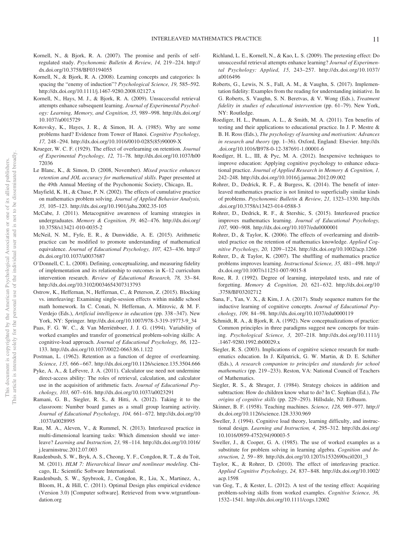- Kornell, N., & Bjork, R. A. (2007). The promise and perils of selfregulated study. *Psychonomic Bulletin & Review, 14,* 219 –224. [http://](http://dx.doi.org/10.3758/BF03194055) [dx.doi.org/10.3758/BF03194055](http://dx.doi.org/10.3758/BF03194055)
- Kornell, N., & Bjork, R. A. (2008). Learning concepts and categories: Is spacing the "enemy of induction"? *Psychological Science, 19,* 585–592. <http://dx.doi.org/10.1111/j.1467-9280.2008.02127.x>
- Kornell, N., Hays, M. J., & Bjork, R. A. (2009). Unsuccessful retrieval attempts enhance subsequent learning. *Journal of Experimental Psychology: Learning, Memory, and Cognition, 35,* 989 –998. [http://dx.doi.org/](http://dx.doi.org/10.1037/a0015729) [10.1037/a0015729](http://dx.doi.org/10.1037/a0015729)
- Kotovsky, K., Hayes, J. R., & Simon, H. A. (1985). Why are some problems hard? Evidence from Tower of Hanoi. *Cognitive Psychology, 17,* 248 –294. [http://dx.doi.org/10.1016/0010-0285\(85\)90009-X](http://dx.doi.org/10.1016/0010-0285%2885%2990009-X)
- Krueger, W. C. F. (1929). The effect of overlearning on retention. *Journal of Experimental Psychology, 12,* 71–78. [http://dx.doi.org/10.1037/h00](http://dx.doi.org/10.1037/h0072036) [72036](http://dx.doi.org/10.1037/h0072036)
- Le Blanc, K., & Simon, D. (2008, November). *Mixed practice enhances retention and JOL accuracy for mathematical skills*. Paper presented at the 49th Annual Meeting of the Psychonomic Society, Chicago, IL.
- Mayfield, K. H., & Chase, P. N. (2002). The effects of cumulative practice on mathematics problem solving. *Journal of Applied Behavior Analysis, 35,* 105–123.<http://dx.doi.org/10.1901/jaba.2002.35-105>
- McCabe, J. (2011). Metacognitive awareness of learning strategies in undergraduates. *Memory & Cognition, 39, 462-476.* [http://dx.doi.org/](http://dx.doi.org/10.3758/s13421-010-0035-2) [10.3758/s13421-010-0035-2](http://dx.doi.org/10.3758/s13421-010-0035-2)
- McNeil, N. M., Fyfe, E. R., & Dunwiddie, A. E. (2015). Arithmetic practice can be modified to promote understanding of mathematical equivalence. *Journal of Educational Psychology, 107, 423-436.* [http://](http://dx.doi.org/10.1037/a0037687) [dx.doi.org/10.1037/a0037687](http://dx.doi.org/10.1037/a0037687)
- O'Donnell, C. L. (2008). Defining, conceptualizing, and measuring fidelity of implementation and its relationship to outcomes in K–12 curriculum intervention research. *Review of Educational Research, 78,* 33– 84. <http://dx.doi.org/10.3102/0034654307313793>
- Ostrow, K., Heffernan, N., Heffernan, C., & Peterson, Z. (2015). Blocking vs. interleaving: Examining single-session effects within middle school math homework. In C. Conati, N. Heffernan, A. Mitrovic, & M. F. Verdejo (Eds.), *Artificial intelligence in education* (pp. 338 –347). New York, NY: Springer. [http://dx.doi.org/10.1007/978-3-319-19773-9\\_34](http://dx.doi.org/10.1007/978-3-319-19773-9_34)
- Paas, F. G. W. C., & Van Merriënboer, J. J. G. (1994). Variability of worked examples and transfer of geometrical problem-solving skills: A cognitive-load approach. *Journal of Educational Psychology, 86,* 122– 133.<http://dx.doi.org/10.1037/0022-0663.86.1.122>
- Postman, L. (1962). Retention as a function of degree of overlearning. *Science, 135,* 666 – 667.<http://dx.doi.org/10.1126/science.135.3504.666>
- Pyke, A. A., & LeFevre, J. A. (2011). Calculator use need not undermine direct-access ability: The roles of retrieval, calculation, and calculator use in the acquisition of arithmetic facts. *Journal of Educational Psychology, 103,* 607– 616.<http://dx.doi.org/10.1037/a0023291>
- Ramani, G. B., Siegler, R. S., & Hitti, A. (2012). Taking it to the classroom: Number board games as a small group learning activity. *Journal of Educational Psychology, 104,* 661– 672. [http://dx.doi.org/10](http://dx.doi.org/10.1037/a0028995) [.1037/a0028995](http://dx.doi.org/10.1037/a0028995)
- Rau, M. A., Aleven, V., & Rummel, N. (2013). Interleaved practice in multi-dimensional learning tasks: Which dimension should we interleave? *Learning and Instruction, 23,* 98 –114. [http://dx.doi.org/10.1016/](http://dx.doi.org/10.1016/j.learninstruc.2012.07.003) [j.learninstruc.2012.07.003](http://dx.doi.org/10.1016/j.learninstruc.2012.07.003)
- Raudenbush, S. W., Bryk, A. S., Cheong, Y. F., Congdon, R. T., & du Toit, M. (2011). *HLM 7: Hierarchical linear and nonlinear modeling*. Chicago, IL: Scientific Software International.
- Raudenbush, S. W., Spybrook, J., Congdon, R., Liu, X., Martinez, A., Bloom, H., & Hill, C. (2011). Optimal Design plus empirical evidence (Version 3.0) [Computer software]. Retrieved from [www.wtgrantfoun](http://www.wtgrantfoundation.org)[dation.org](http://www.wtgrantfoundation.org)
- Richland, L. E., Kornell, N., & Kao, L. S. (2009). The pretesting effect: Do unsuccessful retrieval attempts enhance learning? *Journal of Experimental Psychology: Applied, 15,* 243–257. [http://dx.doi.org/10.1037/](http://dx.doi.org/10.1037/a0016496) [a0016496](http://dx.doi.org/10.1037/a0016496)
- Roberts, G., Lewis, N. S., Fall, A. M., & Vaughn, S. (2017). Implementation fidelity: Examples from the reading for understanding initiative. In G. Roberts, S. Vaughn, S. N. Beretvas, & V. Wong (Eds.), *Treatment fidelity in studies of educational intervention* (pp. 61–79). New York, NY: Routledge.
- <span id="page-11-1"></span>Roediger, H. L., Putnam, A. L., & Smith, M. A. (2011). Ten benefits of testing and their applications to educational practice. In J. P. Mestre & B. H. Ross (Eds.), *The psychology of learning and motivation: Advances in research and theory* (pp. 1–36). Oxford, England: Elsevier. [http://dx](http://dx.doi.org/10.1016/B978-0-12-387691-1.00001-6) [.doi.org/10.1016/B978-0-12-387691-1.00001-6](http://dx.doi.org/10.1016/B978-0-12-387691-1.00001-6)
- Roediger, H. L., III, & Pyc, M. A. (2012). Inexpensive techniques to improve education: Applying cognitive psychology to enhance educational practice. *Journal of Applied Research in Memory & Cognition, 1,* 242–248.<http://dx.doi.org/10.1016/j.jarmac.2012.09.002>
- <span id="page-11-2"></span>Rohrer, D., Dedrick, R. F., & Burgess, K. (2014). The benefit of interleaved mathematics practice is not limited to superficially similar kinds of problems. *Psychonomic Bulletin & Review, 21,* 1323–1330. [http://dx](http://dx.doi.org/10.3758/s13423-014-0588-3) [.doi.org/10.3758/s13423-014-0588-3](http://dx.doi.org/10.3758/s13423-014-0588-3)
- Rohrer, D., Dedrick, R. F., & Stershic, S. (2015). Interleaved practice improves mathematics learning. *Journal of Educational Psychology, 107,* 900 –908.<http://dx.doi.org/10.1037/edu0000001>
- Rohrer, D., & Taylor, K. (2006). The effects of overlearning and distributed practice on the retention of mathematics knowledge. *Applied Cognitive Psychology, 20,* 1209 –1224.<http://dx.doi.org/10.1002/acp.1266>
- <span id="page-11-0"></span>Rohrer, D., & Taylor, K. (2007). The shuffling of mathematics practice problems improves learning. *Instructional Science, 35,* 481– 498. [http://](http://dx.doi.org/10.1007/s11251-007-9015-8) [dx.doi.org/10.1007/s11251-007-9015-8](http://dx.doi.org/10.1007/s11251-007-9015-8)
- Rose, R. J. (1992). Degree of learning, interpolated tests, and rate of forgetting. *Memory & Cognition, 20,* 621– 632. [http://dx.doi.org/10](http://dx.doi.org/10.3758/BF03202712) [.3758/BF03202712](http://dx.doi.org/10.3758/BF03202712)
- Sana, F., Yan, V. X., & Kim, J. A. (2017). Study sequence matters for the inductive learning of cognitive concepts. *Journal of Educational Psychology, 109,* 84 –98.<http://dx.doi.org/10.1037/edu0000119>
- Schmidt, R. A., & Bjork, R. A. (1992). New conceptualizations of practice: Common principles in three paradigms suggest new concepts for training. *Psychological Science, 3,* 207–218. [http://dx.doi.org/10.1111/j](http://dx.doi.org/10.1111/j.1467-9280.1992.tb00029.x) [.1467-9280.1992.tb00029.x](http://dx.doi.org/10.1111/j.1467-9280.1992.tb00029.x)
- Siegler, R. S. (2003). Implications of cognitive science research for mathematics education. In J. Kilpatrick, G. W. Martin, & D. E. Schifter (Eds.), *A research companion to principles and standards for school mathematics* (pp. 219 –233). Reston, VA: National Council of Teachers of Mathematics.
- Siegler, R. S., & Shrager, J. (1984). Strategy choices in addition and subtraction: How do children know what to do? In C. Sophian (Ed.), *The origins of cognitive skills* (pp. 229 –293). Hillsdale, NJ: Erlbaum.
- Skinner, B. F. (1958). Teaching machines. *Science, 128,* 969 –977. [http://](http://dx.doi.org/10.1126/science.128.3330.969) [dx.doi.org/10.1126/science.128.3330.969](http://dx.doi.org/10.1126/science.128.3330.969)
- Sweller, J. (1994). Cognitive load theory, learning difficulty, and instructional design. *Learning and Instruction, 4,* 295–312. [http://dx.doi.org/](http://dx.doi.org/10.1016/0959-4752%2894%2990003-5) [10.1016/0959-4752\(94\)90003-5](http://dx.doi.org/10.1016/0959-4752%2894%2990003-5)
- Sweller, J., & Cooper, G. A. (1985). The use of worked examples as a substitute for problem solving in learning algebra. *Cognition and Instruction, 2,* 59 – 89. [http://dx.doi.org/10.1207/s1532690xci0201\\_3](http://dx.doi.org/10.1207/s1532690xci0201_3)
- Taylor, K., & Rohrer, D. (2010). The effect of interleaving practice. *Applied Cognitive Psychology, 24,* 837– 848. [http://dx.doi.org/10.1002/](http://dx.doi.org/10.1002/acp.1598) [acp.1598](http://dx.doi.org/10.1002/acp.1598)
- van Gog, T., & Kester, L. (2012). A test of the testing effect: Acquiring problem-solving skills from worked examples. *Cognitive Science, 36,* 1532–1541.<http://dx.doi.org/10.1111/cogs.12002>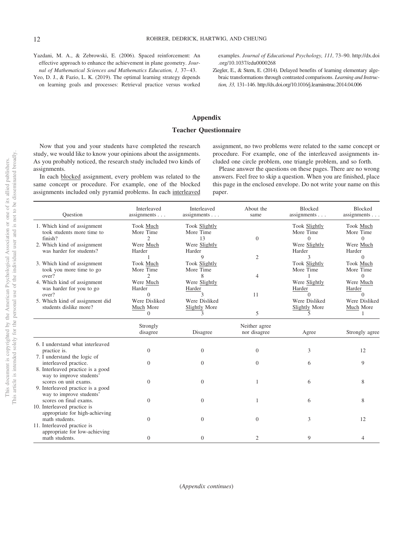Yazdani, M. A., & Zebrowski, E. (2006). Spaced reinforcement: An effective approach to enhance the achievement in plane geometry. *Journal of Mathematical Sciences and Mathematics Education, 1,* 37– 43.

Yeo, D. J., & Fazio, L. K. (2019). The optimal learning strategy depends on learning goals and processes: Retrieval practice versus worked examples. *Journal of Educational Psychology, 111,* 73–90. [http://dx.doi](http://dx.doi.org/10.1037/edu0000268) [.org/10.1037/edu0000268](http://dx.doi.org/10.1037/edu0000268)

<span id="page-12-0"></span>Ziegler, E., & Stern, E. (2014). Delayed benefits of learning elementary algebraic transformations through contrasted comparisons. *Learning and Instruction, 33,* 131–146.<http://dx.doi.org/10.1016/j.learninstruc.2014.04.006>

#### **Appendix**

#### **Teacher Questionnaire**

Now that you and your students have completed the research study, we would like to know your opinions about the assignments. As you probably noticed, the research study included two kinds of assignments.

In each blocked assignment, every problem was related to the same concept or procedure. For example, one of the blocked assignments included only pyramid problems. In each interleaved

assignment, no two problems were related to the same concept or procedure. For example, one of the interleaved assignments included one circle problem, one triangle problem, and so forth.

Please answer the questions on these pages. There are no wrong answers. Feel free to skip a question. When you are finished, place this page in the enclosed envelope. Do not write your name on this paper.

| Ouestion                                                                               | Interleaved<br>assignments $\ldots$                | Interleaved<br>assignments $\ldots$      | About the<br>same             | <b>Blocked</b><br>assignments $\ldots$          | <b>Blocked</b><br>assignments          |
|----------------------------------------------------------------------------------------|----------------------------------------------------|------------------------------------------|-------------------------------|-------------------------------------------------|----------------------------------------|
| 1. Which kind of assignment<br>took students more time to<br>finish?                   | Took Much<br>More Time<br>$\overline{c}$           | Took Slightly<br>More Time<br>13         | $\overline{0}$                | <b>Took Slightly</b><br>More Time<br>$\Omega$   | Took Much<br>More Time<br>$\Omega$     |
| 2. Which kind of assignment<br>was harder for students?                                | Were Much<br>Harder                                | Were Slightly<br>Harder<br>9             | $\overline{2}$                | Were Slightly<br>Harder<br>3                    | Were Much<br>Harder<br>$\Omega$        |
| 3. Which kind of assignment<br>took you more time to go<br>over?                       | Took Much<br>More Time<br>$\mathcal{D}$            | Took Slightly<br>More Time<br>8          |                               | Took Slightly<br>More Time                      | Took Much<br>More Time                 |
| 4. Which kind of assignment<br>was harder for you to go                                | Were Much<br>Harder                                | Were Slightly<br>Harder                  | 4                             | Were Slightly<br>Harder                         | $\Omega$<br>Were Much<br>Harder        |
| over?<br>5. Which kind of assignment did<br>students dislike more?                     | $\Omega$<br>Were Disliked<br>Much More<br>$\Omega$ | 3<br>Were Disliked<br>Slightly More<br>3 | 11<br>5                       | $\Omega$<br>Were Disliked<br>Slightly More<br>5 | $\Omega$<br>Were Disliked<br>Much More |
|                                                                                        | Strongly<br>disagree                               | Disagree                                 | Neither agree<br>nor disagree | Agree                                           | Strongly agree                         |
| 6. I understand what interleaved<br>practice is.<br>7. I understand the logic of       | $\overline{0}$                                     | $\overline{0}$                           | $\overline{0}$                | 3                                               | 12                                     |
| interleaved practice.<br>8. Interleaved practice is a good                             | $\Omega$                                           | $\overline{0}$                           | $\Omega$                      | 6                                               | 9                                      |
| way to improve students'<br>scores on unit exams.<br>9. Interleaved practice is a good | $\Omega$                                           | $\theta$                                 | 1                             | 6                                               | 8                                      |
| way to improve students'<br>scores on final exams.<br>10. Interleaved practice is      | $\Omega$                                           | $\overline{0}$                           | $\mathbf{1}$                  | 6                                               | 8                                      |
| appropriate for high-achieving<br>math students.<br>11. Interleaved practice is        | $\Omega$                                           | $\theta$                                 | $\overline{0}$                | 3                                               | 12                                     |
| appropriate for low-achieving<br>math students.                                        | $\Omega$                                           | $\overline{0}$                           | 2                             | 9                                               | 4                                      |